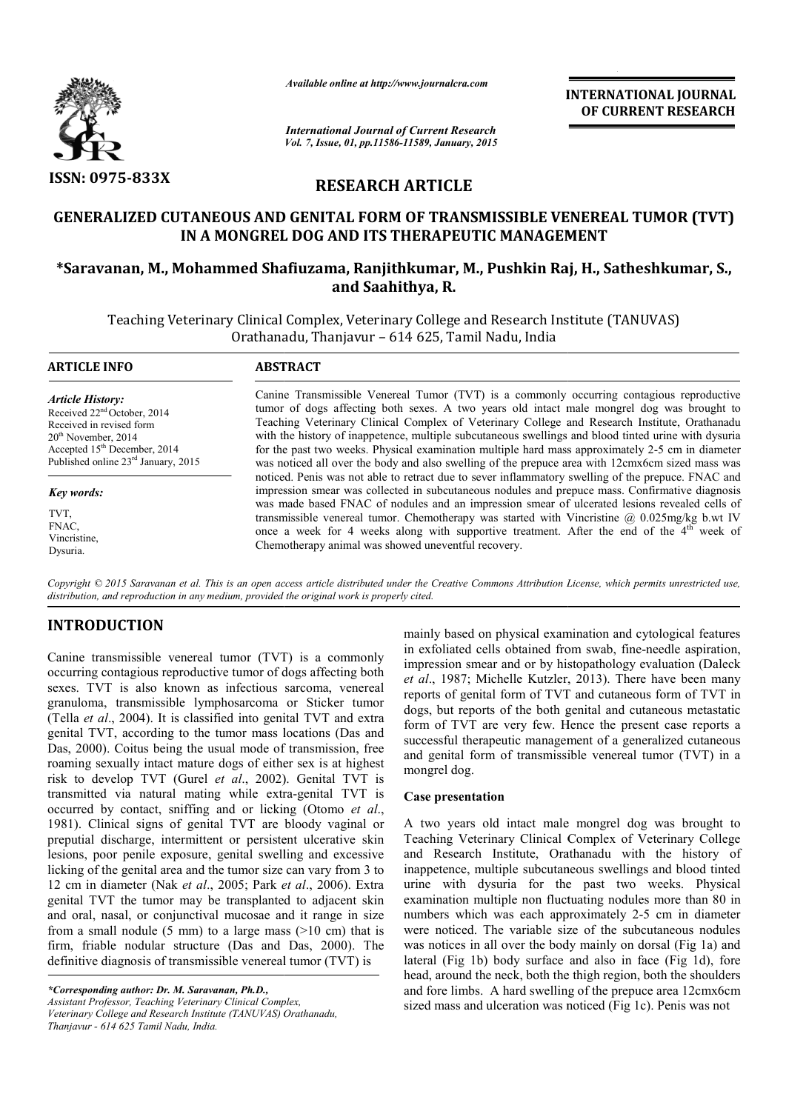

*Available online at http://www.journalcra.com*

*International Journal of Current Research*

**INTERNATIONAL INTERNATIONAL JOURNAL OF CURRENT RESEARCH** 

# **RESEARCH ARTICLE**

*Vol. 7, Issue, 01, pp.11586-11589, January, 2015*

# GENERALIZED CUTANEOUS AND GENITAL FORM OF TRANSMISSIBLE VENEREAL TUMOR (TVT)<br>IN A MONGREL DOG AND ITS THERAPEUTIC MANAGEMENT<br>Saravanan, M., Mohammed Shafiuzama, Ranjithkumar, M., Pushkin Raj, H., Satheshkumar, S.,\*\* **IN A MONGREL DOG AND ITS THERAPEUTIC MANAGEMENT**

## **\*Saravanan, M., Mohammed Shafiuzama, Ranjithkumar, M., Pushkin Raj, H., Satheshkumar, S., and Saahithya, R.**

Teaching Veterinary Clinical Complex, Veterinary College and Research Institute (TANUVAS) Research Institute Orathanadu Orathanadu, Thanjavur – 614 625, Tamil Nadu, India

| <b>ARTICLE INFO</b>                                                                                                                                                                                          | <b>ABSTRACT</b>                                                                                                                                                                                                                                                                                                                                                                                                                                                                                                                                                                                                                                                                                                                                                                                                                                                                                                    |  |  |  |  |
|--------------------------------------------------------------------------------------------------------------------------------------------------------------------------------------------------------------|--------------------------------------------------------------------------------------------------------------------------------------------------------------------------------------------------------------------------------------------------------------------------------------------------------------------------------------------------------------------------------------------------------------------------------------------------------------------------------------------------------------------------------------------------------------------------------------------------------------------------------------------------------------------------------------------------------------------------------------------------------------------------------------------------------------------------------------------------------------------------------------------------------------------|--|--|--|--|
| <b>Article History:</b><br>Received $22nd$ October, 2014<br>Received in revised form<br>$20th$ November, 2014<br>Accepted 15 <sup>th</sup> December, 2014<br>Published online 23 <sup>rd</sup> January, 2015 | Canine Transmissible Venereal Tumor (TVT) is a commonly occurring contagious reproductive<br>tumor of dogs affecting both sexes. A two years old intact male mongrel dog was brought to<br>Teaching Veterinary Clinical Complex of Veterinary College and Research Institute, Orathanadu<br>with the history of inappetence, multiple subcutaneous swellings and blood tinted urine with dysuria<br>for the past two weeks. Physical examination multiple hard mass approximately 2-5 cm in diameter<br>was noticed all over the body and also swelling of the prepuce area with 12cmx6cm sized mass was<br>noticed. Penis was not able to retract due to sever inflammatory swelling of the prepuce. FNAC and<br>impression smear was collected in subcutaneous nodules and prepuce mass. Confirmative diagnosis<br>was made based FNAC of nodules and an impression smear of ulcerated lesions revealed cells of |  |  |  |  |
| <b>Key words:</b>                                                                                                                                                                                            |                                                                                                                                                                                                                                                                                                                                                                                                                                                                                                                                                                                                                                                                                                                                                                                                                                                                                                                    |  |  |  |  |
| TVT.<br>FNAC.<br>Vincristine.<br>Dysuria.                                                                                                                                                                    | transmissible venereal tumor. Chemotherapy was started with Vincristine $\omega$ 0.025mg/kg b.wt IV<br>once a week for 4 weeks along with supportive treatment. After the end of the 4 <sup>th</sup> week of<br>Chemotherapy animal was showed uneventful recovery.                                                                                                                                                                                                                                                                                                                                                                                                                                                                                                                                                                                                                                                |  |  |  |  |

*Copyright © 2015 Saravanan et al. This is an open access article distributed under the Creative Commons Att Attribution License, which ribution permits unrestricted use,*  distribution, and reproduction in any medium, provided the original work is properly cited.

## **INTRODUCTION**

Canine transmissible venereal tumor (TVT) is a commonly occurring contagious reproductive tumor of dogs affecting both sexes. TVT is also known as infectious sarcoma, venereal granuloma, transmissible lymphosarcoma or Sticker tumor (Tella *et al*., 2004). It is classified into genital TVT and extra genital TVT, according to the tumor mass locations (Das and Das, 2000). Coitus being the usual mode of transmission, free roaming sexually intact mature dogs of either sex is at highest risk to develop TVT (Gurel *et al*., 2002). Genital TVT is (Tella *et al.*, 2004). It is classified into genital TVT and extra genital TVT, according to the tumor mass locations (Das and Das, 2000). Coitus being the usual mode of transmission, free roaming sexually intact mature occurred by contact, sniffing and or licking (Otomo *et al*., 1981). Clinical signs of genital TVT are bloody vaginal or preputial discharge, intermittent or persistent ulcerative skin lesions, poor penile exposure, genital swelling and excessive licking of the genital area and the tumor size can vary from 3 to 12 cm in diameter (Nak *et al*., 2005; Park *et al* ., 2006). Extra genital TVT the tumor may be transplanted to adjacent skin and oral, nasal, or conjunctival mucosae and it range in size from a small nodule (5 mm) to a large mass  $(>10$  cm) that is firm, friable nodular structure (Das and Das, 2000). The definitive diagnosis of transmissible venereal tumor (TVT) is

*\*Corresponding author: Dr. M. Saravanan, Ph.D., Assistant Professor, Teaching Veterinary Clinical Complex, Veterinary College and Research Institute (TANUVAS) Orathanadu, Thanjavur - 614 625 Tamil Nadu, India.*

mainly based on physical examination and cytological features mainly based on physical examination and cytological features<br>in exfoliated cells obtained from swab, fine-needle aspiration, impression smear and or by histopathology evaluation (Daleck *et al*., 1987; Michelle Kutzler, 2013). There have been many reports of genital form of TVT and cutaneous form of TVT in dogs, but reports of the both genital and cutaneous metastatic form of TVT are very few. Hence the present case reports a successful therapeutic management of a generalized cutaneous and genital form of transmissible venereal tumor (TVT) in a mongrel dog. or Michelle Botal Michelle Kutzler, 2013). There have been many to f genital form of TVT and cutaneous form of TVT in but reports of the both genital and cutaneous metastatic of TVT are very few. Hence the present case rep

#### **Case presentation**

A two years old intact male mongrel dog was brought to Teaching Veterinary Clinical Complex of Veterinary College and Research Institute, Orathanadu with the history of inappetence, multiple subcutaneous swellings and blood tinted urine with dysuria for the past two weeks. Physical examination multiple non fluctuating nodules more than 80 in numbers which was each approximately 2-5 cm in diameter were noticed. The variable size of the subcutaneous nodules was notices in all over the body mainly on dorsal (Fig 1a) and lateral (Fig 1b) body surface and also in face (Fig 1d), fore head, around the neck, both the thigh region, both the shoulders head, around the neck, both the thigh region, both the shoulders and fore limbs. A hard swelling of the prepuce area 12cmx6cm sized mass and ulceration was noticed (Fig 1c). Penis was not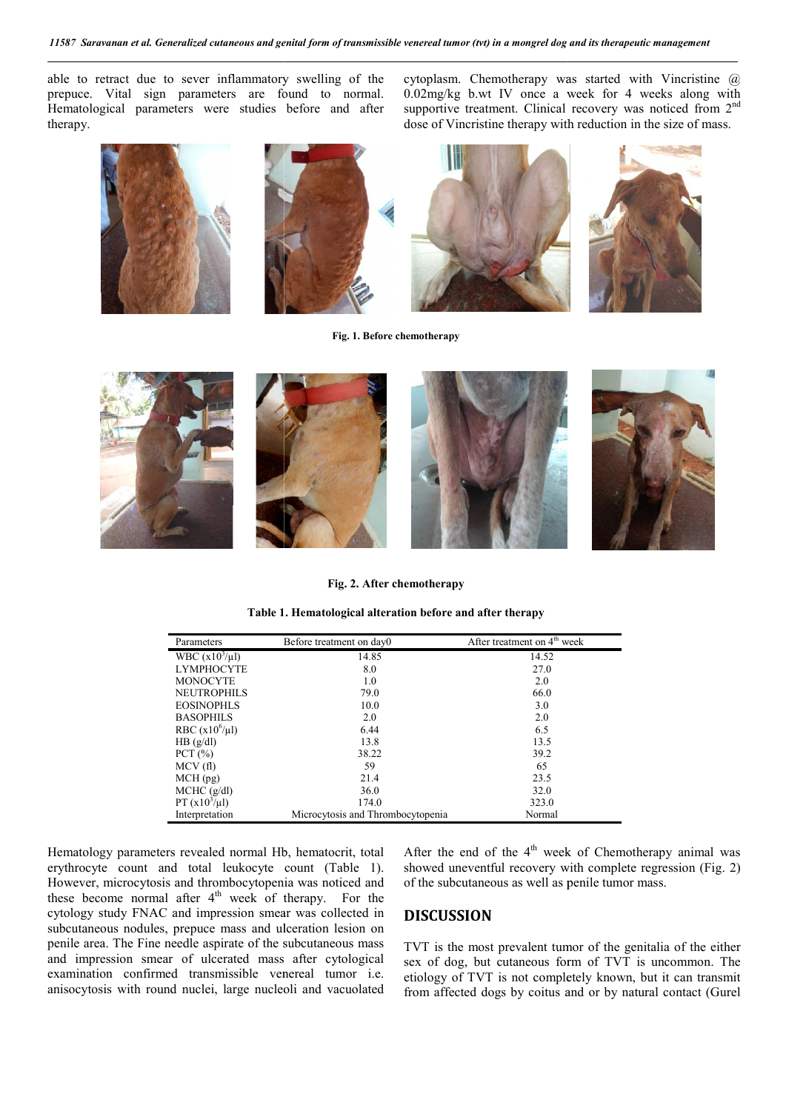able to retract due to sever inflammatory swelling of the prepuce. Vital sign parameters are found to normal. Hematological parameters were studies before and after therapy.

cytoplasm. Chemotherapy was started with Vincristine @ 0.02mg/kg b.wt IV once a week for 4 weeks along with supportive treatment. Clinical recovery was noticed from 2<sup>nd</sup> dose of Vincristine therapy with reduction in the size of mass. was started with Vincristine  $\omega$ <br>a week for 4 weeks along with<br>al recovery was noticed from  $2^{nd}$ 



**Fig. 1. Before chemotherapy**



**Fig. 2. After chemotherapy**

|  |  |  | Table 1. Hematological alteration before and after therapy |  |  |
|--|--|--|------------------------------------------------------------|--|--|
|  |  |  |                                                            |  |  |

| Parameters          | Before treatment on day0          | After treatment on 4 <sup>th</sup> week |
|---------------------|-----------------------------------|-----------------------------------------|
| WBC $(x10^3/\mu l)$ | 14.85                             | 14.52                                   |
| <b>LYMPHOCYTE</b>   | 8.0                               | 27.0                                    |
| <b>MONOCYTE</b>     | 1.0                               | 2.0                                     |
| <b>NEUTROPHILS</b>  | 79.0                              | 66.0                                    |
| <b>EOSINOPHLS</b>   | 10.0                              | 3.0                                     |
| <b>BASOPHILS</b>    | 2.0                               | 2.0                                     |
| RBC $(x10^6/\mu l)$ | 6.44                              | 6.5                                     |
| HB (g/dl)           | 13.8                              | 13.5                                    |
| PCT $(\%)$          | 38.22                             | 39.2                                    |
| MCV(f)              | 59                                | 65                                      |
| $MCH$ (pg)          | 21.4                              | 23.5                                    |
| MCHC (g/dl)         | 36.0                              | 32.0                                    |
| PT $(x10^3/\mu l)$  | 174.0                             | 323.0                                   |
| Interpretation      | Microcytosis and Thrombocytopenia | Normal                                  |

Hematology parameters revealed normal Hb, hematocrit, total erythrocyte count and total leukocyte count (Table 1). However, microcytosis and thrombocytopenia was noticed and these become normal after  $4<sup>th</sup>$  week of therapy. For the cytology study FNAC and impression smear was collected in subcutaneous nodules, prepuce mass and ulceration lesion on penile area. The Fine needle aspirate of the subcutaneous mass and impression smear of ulcerated mass after cytological examination confirmed transmissible venereal tumor i.e. anisocytosis with round nuclei, large nucleoli and vacuolated After the end of the  $4<sup>th</sup>$  week of Chemotherapy animal was showed uneventful recovery with complete regression (Fig. 2) of the subcutaneous as well as penile tumor mass.

## **DISCUSSION**

TVT is the most prevalent tumor of the genitalia of the either sex of dog, but cutaneous form of TVT is uncommon. The etiology of TVT is not completely known, but it can transmit from affected dogs by coitus and or by natural contact (Gurel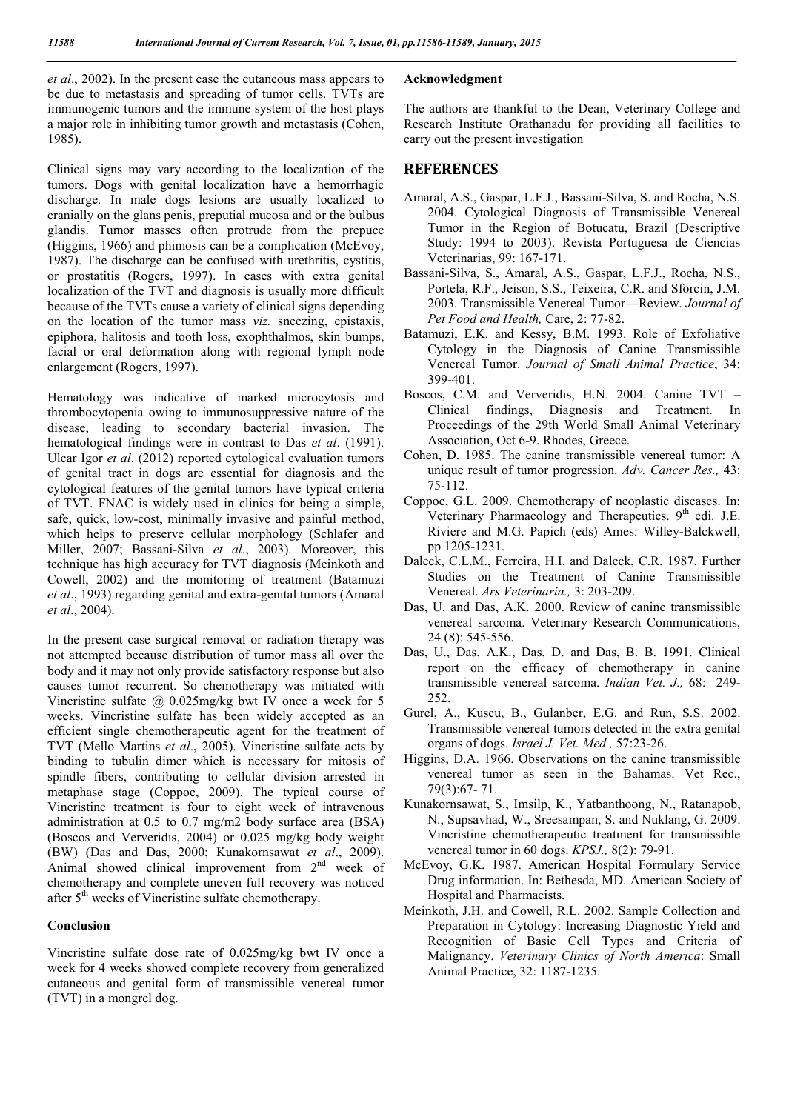*et al*., 2002). In the present case the cutaneous mass appears to be due to metastasis and spreading of tumor cells. TVTs are immunogenic tumors and the immune system of the host plays a major role in inhibiting tumor growth and metastasis (Cohen, 1985).

Clinical signs may vary according to the localization of the tumors. Dogs with genital localization have a hemorrhagic discharge. In male dogs lesions are usually localized to cranially on the glans penis, preputial mucosa and or the bulbus glandis. Tumor masses often protrude from the prepuce (Higgins, 1966) and phimosis can be a complication (McEvoy, 1987). The discharge can be confused with urethritis, cystitis, or prostatitis (Rogers, 1997). In cases with extra genital localization of the TVT and diagnosis is usually more difficult because of the TVTs cause a variety of clinical signs depending on the location of the tumor mass *viz.* sneezing, epistaxis, epiphora, halitosis and tooth loss, exophthalmos, skin bumps, facial or oral deformation along with regional lymph node enlargement (Rogers, 1997).

Hematology was indicative of marked microcytosis and thrombocytopenia owing to immunosuppressive nature of the disease, leading to secondary bacterial invasion. The hematological findings were in contrast to Das *et al*. (1991). Ulcar Igor *et al*. (2012) reported cytological evaluation tumors of genital tract in dogs are essential for diagnosis and the cytological features of the genital tumors have typical criteria of TVT. FNAC is widely used in clinics for being a simple, safe, quick, low-cost, minimally invasive and painful method, which helps to preserve cellular morphology (Schlafer and Miller, 2007; Bassani-Silva *et al*., 2003). Moreover, this technique has high accuracy for TVT diagnosis (Meinkoth and Cowell, 2002) and the monitoring of treatment (Batamuzi *et al*., 1993) regarding genital and extra-genital tumors (Amaral *et al*., 2004).

In the present case surgical removal or radiation therapy was not attempted because distribution of tumor mass all over the body and it may not only provide satisfactory response but also causes tumor recurrent. So chemotherapy was initiated with Vincristine sulfate @ 0.025mg/kg bwt IV once a week for 5 weeks. Vincristine sulfate has been widely accepted as an efficient single chemotherapeutic agent for the treatment of TVT (Mello Martins *et al*., 2005). Vincristine sulfate acts by binding to tubulin dimer which is necessary for mitosis of spindle fibers, contributing to cellular division arrested in metaphase stage (Coppoc, 2009). The typical course of Vincristine treatment is four to eight week of intravenous administration at 0.5 to 0.7 mg/m2 body surface area (BSA) (Boscos and Ververidis, 2004) or 0.025 mg/kg body weight (BW) (Das and Das, 2000; Kunakornsawat *et al*., 2009). Animal showed clinical improvement from  $2<sup>nd</sup>$  week of chemotherapy and complete uneven full recovery was noticed after 5<sup>th</sup> weeks of Vincristine sulfate chemotherapy.

#### **Conclusion**

Vincristine sulfate dose rate of 0.025mg/kg bwt IV once a week for 4 weeks showed complete recovery from generalized cutaneous and genital form of transmissible venereal tumor (TVT) in a mongrel dog.

#### **Acknowledgment**

The authors are thankful to the Dean, Veterinary College and Research Institute Orathanadu for providing all facilities to carry out the present investigation

### **REFERENCES**

- Amaral, A.S., Gaspar, L.F.J., Bassani-Silva, S. and Rocha, N.S. 2004. Cytological Diagnosis of Transmissible Venereal Tumor in the Region of Botucatu, Brazil (Descriptive Study: 1994 to 2003). Revista Portuguesa de Ciencias Veterinarias, 99: 167-171.
- Bassani-Silva, S., Amaral, A.S., Gaspar, L.F.J., Rocha, N.S., Portela, R.F., Jeison, S.S., Teixeira, C.R. and Sforcin, J.M. 2003. Transmissible Venereal Tumor—Review. *Journal of Pet Food and Health,* Care, 2: 77-82.
- Batamuzi, E.K. and Kessy, B.M. 1993. Role of Exfoliative Cytology in the Diagnosis of Canine Transmissible Venereal Tumor. *Journal of Small Animal Practice*, 34: 399-401.
- Boscos, C.M. and Ververidis, H.N. 2004. Canine TVT Clinical findings, Diagnosis and Treatment. In Proceedings of the 29th World Small Animal Veterinary Association, Oct 6-9. Rhodes, Greece.
- Cohen, D. 1985. The canine transmissible venereal tumor: A unique result of tumor progression. *Adv. Cancer Res.,* 43: 75-112.
- Coppoc, G.L. 2009. Chemotherapy of neoplastic diseases. In: Veterinary Pharmacology and Therapeutics. 9<sup>th</sup> edi. J.E. Riviere and M.G. Papich (eds) Ames: Willey-Balckwell, pp 1205-1231.
- Daleck, C.L.M., Ferreira, H.I. and Daleck, C.R. 1987. Further Studies on the Treatment of Canine Transmissible Venereal. *Ars Veterinaria.,* 3: 203-209.
- Das, U. and Das, A.K. 2000. Review of canine transmissible venereal sarcoma. Veterinary Research Communications, 24 (8): 545-556.
- Das, U., Das, A.K., Das, D. and Das, B. B. 1991. Clinical report on the efficacy of chemotherapy in canine transmissible venereal sarcoma. *Indian Vet. J.,* 68: 249- 252.
- Gurel, A., Kuscu, B., Gulanber, E.G. and Run, S.S. 2002. Transmissible venereal tumors detected in the extra genital organs of dogs. *Israel J. Vet. Med.,* 57:23-26.
- Higgins, D.A. 1966. Observations on the canine transmissible venereal tumor as seen in the Bahamas. Vet Rec., 79(3):67- 71.
- Kunakornsawat, S., Imsilp, K., Yatbanthoong, N., Ratanapob, N., Supsavhad, W., Sreesampan, S. and Nuklang, G. 2009. Vincristine chemotherapeutic treatment for transmissible venereal tumor in 60 dogs. *KPSJ.,* 8(2): 79-91.
- McEvoy, G.K. 1987. American Hospital Formulary Service Drug information. In: Bethesda, MD. American Society of Hospital and Pharmacists.
- Meinkoth, J.H. and Cowell, R.L. 2002. Sample Collection and Preparation in Cytology: Increasing Diagnostic Yield and Recognition of Basic Cell Types and Criteria of Malignancy. *Veterinary Clinics of North America*: Small Animal Practice, 32: 1187-1235.